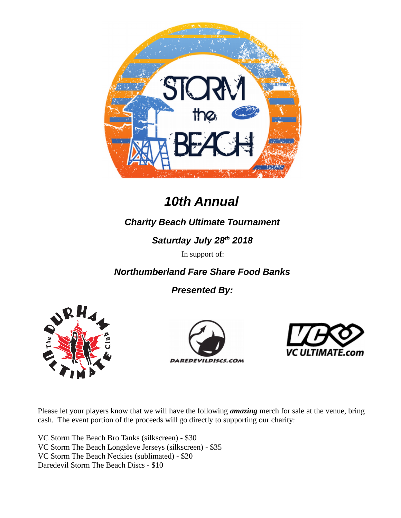

# *10th Annual*

# *Charity Beach Ultimate Tournament*

*Saturday July 28th 2018*

In support of:

*Northumberland Fare Share Food Banks*

*Presented By:*







Please let your players know that we will have the following *amazing* merch for sale at the venue, bring cash. The event portion of the proceeds will go directly to supporting our charity:

VC Storm The Beach Bro Tanks (silkscreen) - \$30 VC Storm The Beach Longsleve Jerseys (silkscreen) - \$35 VC Storm The Beach Neckies (sublimated) - \$20 Daredevil Storm The Beach Discs - \$10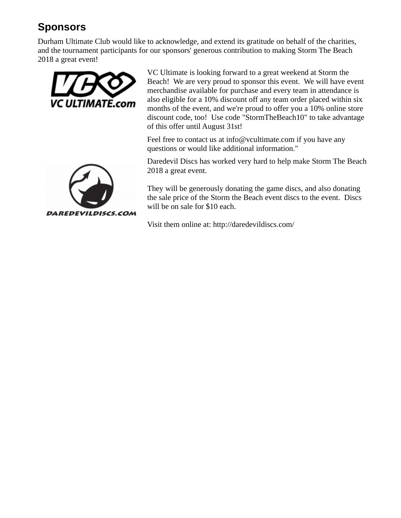# **Sponsors**

Durham Ultimate Club would like to acknowledge, and extend its gratitude on behalf of the charities, and the tournament participants for our sponsors' generous contribution to making Storm The Beach 2018 a great event!



VC Ultimate is looking forward to a great weekend at Storm the Beach! We are very proud to sponsor this event. We will have event merchandise available for purchase and every team in attendance is also eligible for a 10% discount off any team order placed within six months of the event, and we're proud to offer you a 10% online store discount code, too! Use code "StormTheBeach10" to take advantage of this offer until August 31st!

Feel free to contact us at info@vcultimate.com if you have any questions or would like additional information."

Daredevil Discs has worked very hard to help make Storm The Beach 2018 a great event.

They will be generously donating the game discs, and also donating the sale price of the Storm the Beach event discs to the event. Discs will be on sale for \$10 each.

Visit them online at: http://daredevildiscs.com/

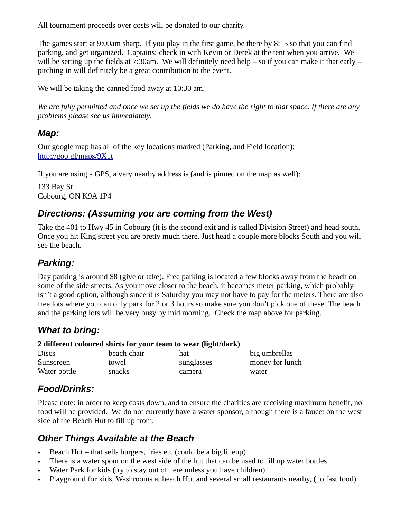All tournament proceeds over costs will be donated to our charity.

The games start at 9:00am sharp. If you play in the first game, be there by 8:15 so that you can find parking, and get organized. Captains: check in with Kevin or Derek at the tent when you arrive. We will be setting up the fields at 7:30am. We will definitely need help – so if you can make it that early – pitching in will definitely be a great contribution to the event.

We will be taking the canned food away at 10:30 am.

*We are fully permitted and once we set up the fields we do have the right to that space. If there are any problems please see us immediately.*

#### *Map:*

Our google map has all of the key locations marked (Parking, and Field location): <http://goo.gl/maps/9X1t>

If you are using a GPS, a very nearby address is (and is pinned on the map as well):

133 Bay St Cobourg, ON K9A 1P4

## *Directions: (Assuming you are coming from the West)*

Take the 401 to Hwy 45 in Cobourg (it is the second exit and is called Division Street) and head south. Once you hit King street you are pretty much there. Just head a couple more blocks South and you will see the beach.

## *Parking:*

Day parking is around \$8 (give or take). Free parking is located a few blocks away from the beach on some of the side streets. As you move closer to the beach, it becomes meter parking, which probably isn't a good option, although since it is Saturday you may not have to pay for the meters. There are also free lots where you can only park for 2 or 3 hours so make sure you don't pick one of these. The beach and the parking lots will be very busy by mid morning. Check the map above for parking.

### *What to bring:*

#### **2 different coloured shirts for your team to wear (light/dark)**

| <b>Discs</b> | beach chair | hat        | big umbrellas   |
|--------------|-------------|------------|-----------------|
| Sunscreen    | towel       | sunglasses | money for lunch |
| Water bottle | snacks      | camera     | water           |

## *Food/Drinks:*

Please note: in order to keep costs down, and to ensure the charities are receiving maximum benefit, no food will be provided. We do not currently have a water sponsor, although there is a faucet on the west side of the Beach Hut to fill up from.

## *Other Things Available at the Beach*

- Beach Hut that sells burgers, fries etc (could be a big lineup)
- There is a water spout on the west side of the hut that can be used to fill up water bottles
- Water Park for kids (try to stay out of here unless you have children)
- Playground for kids, Washrooms at beach Hut and several small restaurants nearby, (no fast food)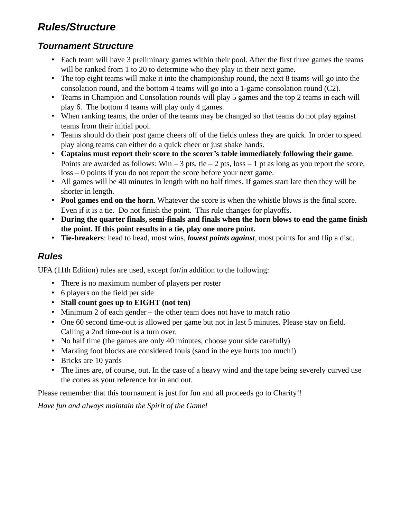# *Rules/Structure*

# *Tournament Structure*

- Each team will have 3 preliminary games within their pool. After the first three games the teams will be ranked from 1 to 20 to determine who they play in their next game.
- The top eight teams will make it into the championship round, the next 8 teams will go into the consolation round, and the bottom 4 teams will go into a 1-game consolation round (C2).
- Teams in Champion and Consolation rounds will play 5 games and the top 2 teams in each will play 6. The bottom 4 teams will play only 4 games.
- When ranking teams, the order of the teams may be changed so that teams do not play against teams from their initial pool.
- Teams should do their post game cheers off of the fields unless they are quick. In order to speed play along teams can either do a quick cheer or just shake hands.
- **Captains must report their score to the scorer's table immediately following their game**. Points are awarded as follows: Win – 3 pts, tie – 2 pts, loss – 1 pt as long as you report the score, loss – 0 points if you do not report the score before your next game.
- All games will be 40 minutes in length with no half times. If games start late then they will be shorter in length.
- **Pool games end on the horn**. Whatever the score is when the whistle blows is the final score. Even if it is a tie. Do not finish the point. This rule changes for playoffs.
- **During the quarter finals, semi-finals and finals when the horn blows to end the game finish the point. If this point results in a tie, play one more point.**
- **Tie-breakers**: head to head, most wins, *lowest points against*, most points for and flip a disc.

# *Rules*

UPA (11th Edition) rules are used, except for/in addition to the following:

- There is no maximum number of players per roster
- 6 players on the field per side
- **Stall count goes up to EIGHT (not ten)**
- Minimum 2 of each gender the other team does not have to match ratio
- One 60 second time-out is allowed per game but not in last 5 minutes. Please stay on field. Calling a 2nd time-out is a turn over.
- No half time (the games are only 40 minutes, choose your side carefully)
- Marking foot blocks are considered fouls (sand in the eye hurts too much!)
- Bricks are 10 yards
- The lines are, of course, out. In the case of a heavy wind and the tape being severely curved use the cones as your reference for in and out.

Please remember that this tournament is just for fun and all proceeds go to Charity!!

*Have fun and always maintain the Spirit of the Game!*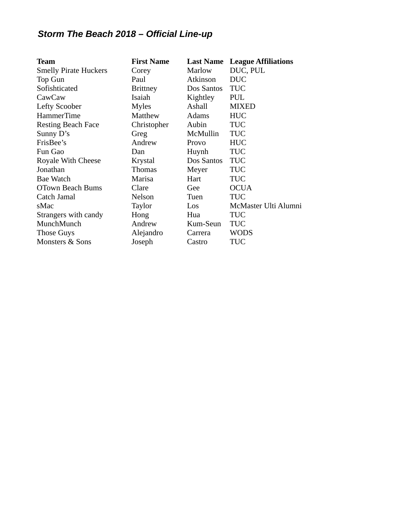# *Storm The Beach 2018 – Official Line-up*

| <b>Team</b>                  | <b>First Name</b> | <b>Last Name</b> | <b>League Affiliations</b> |
|------------------------------|-------------------|------------------|----------------------------|
| <b>Smelly Pirate Huckers</b> | Corey             | Marlow           | DUC, PUL                   |
| <b>Top Gun</b>               | Paul              | Atkinson         | <b>DUC</b>                 |
| Sofishticated                | <b>Brittney</b>   | Dos Santos       | <b>TUC</b>                 |
| CawCaw                       | Isaiah            | Kightley         | PUL                        |
| <b>Lefty Scoober</b>         | <b>Myles</b>      | Ashall           | <b>MIXED</b>               |
| <b>HammerTime</b>            | Matthew           | Adams            | <b>HUC</b>                 |
| <b>Resting Beach Face</b>    | Christopher       | Aubin            | <b>TUC</b>                 |
| Sunny D's                    | Greg              | McMullin         | <b>TUC</b>                 |
| FrisBee's                    | Andrew            | Provo            | <b>HUC</b>                 |
| Fun Gao                      | Dan               | Huynh            | <b>TUC</b>                 |
| <b>Royale With Cheese</b>    | Krystal           | Dos Santos       | <b>TUC</b>                 |
| Jonathan                     | <b>Thomas</b>     | Meyer            | <b>TUC</b>                 |
| <b>Bae Watch</b>             | Marisa            | Hart             | <b>TUC</b>                 |
| <b>OTown Beach Bums</b>      | Clare             | Gee              | <b>OCUA</b>                |
| Catch Jamal                  | Nelson            | Tuen             | <b>TUC</b>                 |
| sMac                         | Taylor            | Los              | McMaster Ulti Alumni       |
| Strangers with candy         | Hong              | Hua              | <b>TUC</b>                 |
| MunchMunch                   | Andrew            | Kum-Seun         | <b>TUC</b>                 |
| <b>Those Guys</b>            | Alejandro         | Carrera          | <b>WODS</b>                |
| <b>Monsters &amp; Sons</b>   | Joseph            | Castro           | TUC                        |